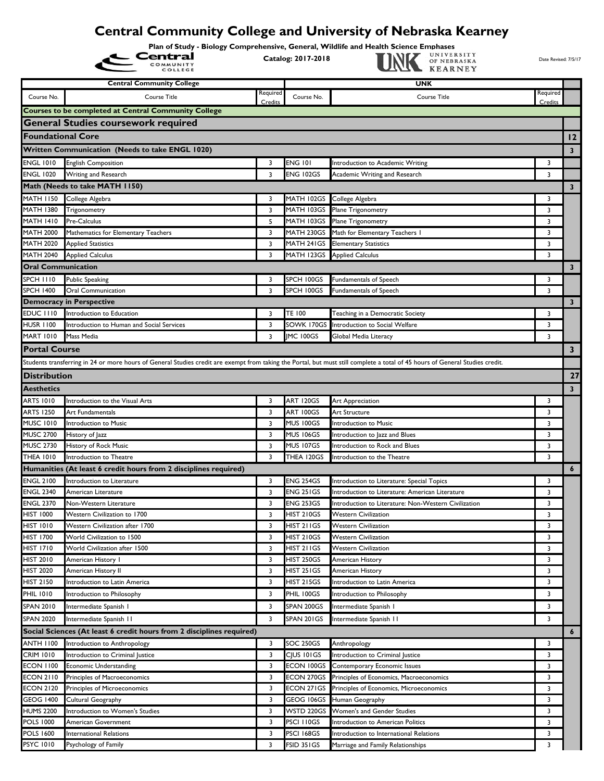## **Central Community College and University of Nebraska Kearney**

**Plan of Study - Biology Comprehensive, General, Wildlife and Health Science Emphases<br>Central Catalog: 2017-2018** 

**Catalog: 2017-2018 Date Revised: 7/5/17**<br>
Catalog: 2017-2018 **Date Revised: 7/5/17**<br> **CATALOGY CATALOGY CONVERSES** 

|                                      | <b>Central Community College</b>                                                                                                                                              |                     |                                 | <b>UNK</b>                                                              |                         |                         |
|--------------------------------------|-------------------------------------------------------------------------------------------------------------------------------------------------------------------------------|---------------------|---------------------------------|-------------------------------------------------------------------------|-------------------------|-------------------------|
| Course No.                           | Course Title                                                                                                                                                                  | Required<br>Credits | Course No.                      | Course Title                                                            | Required<br>Credits     |                         |
|                                      | Courses to be completed at Central Community College                                                                                                                          |                     |                                 |                                                                         |                         |                         |
|                                      | <b>General Studies coursework required</b>                                                                                                                                    |                     |                                 |                                                                         |                         |                         |
| <b>Foundational Core</b>             |                                                                                                                                                                               |                     |                                 |                                                                         |                         | 12                      |
|                                      | Written Communication (Needs to take ENGL 1020)                                                                                                                               |                     |                                 |                                                                         |                         | 3 <sup>7</sup>          |
| <b>ENGL 1010</b>                     | <b>English Composition</b>                                                                                                                                                    | 3                   | <b>ENG 101</b>                  | Introduction to Academic Writing                                        | 3                       |                         |
| <b>ENGL 1020</b>                     | Writing and Research                                                                                                                                                          | 3                   | <b>ENG 102GS</b>                | Academic Writing and Research                                           | 3                       |                         |
|                                      | Math (Needs to take MATH 1150)                                                                                                                                                |                     |                                 |                                                                         |                         | 3 <sup>7</sup>          |
| <b>MATH 1150</b>                     | College Algebra                                                                                                                                                               | 3                   | MATH 102GS                      | College Algebra                                                         | 3                       |                         |
| MATH 1380                            | Trigonometry                                                                                                                                                                  | 3                   | MATH 103GS                      | Plane Trigonometry                                                      | 3                       |                         |
| <b>MATH 1410</b>                     | Pre-Calculus                                                                                                                                                                  | 5                   | MATH 103GS                      | Plane Trigonometry                                                      | 3                       |                         |
| <b>MATH 2000</b>                     | Mathematics for Elementary Teachers                                                                                                                                           | 3                   | MATH 230GS                      | Math for Elementary Teachers                                            | 3                       |                         |
| <b>MATH 2020</b>                     | Applied Statistics                                                                                                                                                            | 3                   | MATH 241GS                      | <b>Elementary Statistics</b>                                            | 3                       |                         |
| <b>MATH 2040</b>                     | Applied Calculus                                                                                                                                                              | 3                   | MATH 123GS                      | <b>Applied Calculus</b>                                                 | 3                       |                         |
| <b>Oral Communication</b>            |                                                                                                                                                                               |                     |                                 |                                                                         |                         | $\mathbf{3}$            |
| <b>SPCH 1110</b>                     | <b>Public Speaking</b>                                                                                                                                                        | 3                   | SPCH 100GS                      | Fundamentals of Speech                                                  | 3                       |                         |
| <b>SPCH 1400</b>                     | <b>Oral Communication</b>                                                                                                                                                     | 3                   | SPCH 100GS                      | Fundamentals of Speech                                                  | 3                       |                         |
|                                      | <b>Democracy in Perspective</b>                                                                                                                                               |                     |                                 |                                                                         |                         | $\overline{\mathbf{3}}$ |
| <b>EDUC 1110</b>                     | Introduction to Education                                                                                                                                                     | 3                   | <b>TE 100</b>                   | Teaching in a Democratic Society                                        | 3                       |                         |
| <b>HUSR 1100</b>                     | Introduction to Human and Social Services                                                                                                                                     | 3                   | SOWK 170GS                      | Introduction to Social Welfare                                          | 3                       |                         |
| <b>MART 1010</b>                     | Mass Media                                                                                                                                                                    | 3                   | <b>IMC 100GS</b>                | Global Media Literacy                                                   | 3                       |                         |
| <b>Portal Course</b>                 |                                                                                                                                                                               |                     |                                 |                                                                         |                         | $\mathbf{3}$            |
|                                      | Students transferring in 24 or more hours of General Studies credit are exempt from taking the Portal, but must still complete a total of 45 hours of General Studies credit. |                     |                                 |                                                                         |                         |                         |
| <b>IDistribution</b>                 |                                                                                                                                                                               |                     |                                 |                                                                         |                         | 27                      |
| <b>Aesthetics</b>                    |                                                                                                                                                                               |                     |                                 |                                                                         |                         | 3 <sup>7</sup>          |
| <b>ARTS 1010</b>                     | Introduction to the Visual Arts                                                                                                                                               | 3                   | <b>ART 120GS</b>                | Art Appreciation                                                        | 3                       |                         |
| <b>ARTS 1250</b>                     | Art Fundamentals                                                                                                                                                              | 3                   | ART 100GS                       | Art Structure                                                           | 3                       |                         |
| <b>MUSC 1010</b>                     | Introduction to Music                                                                                                                                                         | 3                   | <b>MUS 100GS</b>                | Introduction to Music                                                   | 3                       |                         |
| <b>MUSC 2700</b>                     | History of Jazz                                                                                                                                                               | 3                   | <b>MUS 106GS</b>                | Introduction to Jazz and Blues                                          | 3                       |                         |
| <b>MUSC 2730</b>                     | History of Rock Music                                                                                                                                                         | 3                   | <b>MUS 107GS</b>                | Introduction to Rock and Blues                                          | 3                       |                         |
| <b>THEA 1010</b>                     | Introduction to Theatre                                                                                                                                                       | 3                   | THEA 120GS                      | Introduction to the Theatre                                             | 3                       |                         |
|                                      | Humanities (At least 6 credit hours from 2 disciplines required)                                                                                                              |                     |                                 |                                                                         |                         | $\boldsymbol{6}$        |
| <b>ENGL 2100</b>                     | Introduction to Literature                                                                                                                                                    | 3                   | <b>ENG 254GS</b>                | Introduction to Literature: Special Topics                              | 3                       |                         |
| <b>ENGL 2340</b>                     | American Literature                                                                                                                                                           | 3                   | <b>ENG 251GS</b>                | Introduction to Literature: American Literature                         | 3                       |                         |
| <b>ENGL 2370</b>                     | Non-Western Literature                                                                                                                                                        | 3                   | <b>ENG 253GS</b>                | Introduction to Literature: Non-Western Civilization                    | 3                       |                         |
| <b>HIST 1000</b>                     | Western Civilization to 1700                                                                                                                                                  | 3                   | <b>HIST 210GS</b>               | <b>Western Civilization</b>                                             | 3                       |                         |
| <b>HIST 1010</b>                     | Western Civilization after 1700                                                                                                                                               | 3                   | <b>HIST 211GS</b>               | <b>Western Civilization</b>                                             | 3                       |                         |
| <b>HIST 1700</b>                     | World Civilization to 1500                                                                                                                                                    | 3                   | <b>HIST 210GS</b>               | Western Civilization                                                    | 3                       |                         |
| <b>HIST 1710</b>                     | World Civilization after 1500                                                                                                                                                 | 3                   | HIST 211GS                      | <b>Western Civilization</b>                                             | 3                       |                         |
| <b>HIST 2010</b>                     | American History I                                                                                                                                                            | 3                   | HIST 250GS                      | American History                                                        | 3                       |                         |
| <b>HIST 2020</b><br><b>HIST 2150</b> | American History II<br>Introduction to Latin America                                                                                                                          | 3<br>3              | HIST 251GS<br><b>HIST 215GS</b> | American History<br>Introduction to Latin America                       | 3<br>3                  |                         |
| <b>PHIL 1010</b>                     |                                                                                                                                                                               | 3                   | PHIL 100GS                      | Introduction to Philosophy                                              | 3                       |                         |
|                                      | Introduction to Philosophy                                                                                                                                                    |                     |                                 |                                                                         |                         |                         |
| <b>SPAN 2010</b>                     | Intermediate Spanish I                                                                                                                                                        | 3                   | SPAN 200GS                      | Intermediate Spanish I                                                  | 3                       |                         |
| <b>SPAN 2020</b>                     | Intermediate Spanish II                                                                                                                                                       | 3                   | SPAN 201GS                      | Intermediate Spanish II                                                 | 3                       |                         |
|                                      | Social Sciences (At least 6 credit hours from 2 disciplines required)                                                                                                         |                     |                                 |                                                                         |                         | $\epsilon$              |
| <b>ANTH 1100</b>                     | Introduction to Anthropology                                                                                                                                                  | 3                   | SOC 250GS                       | Anthropology                                                            | 3                       |                         |
| <b>CRIM 1010</b>                     | Introduction to Criminal Justice                                                                                                                                              | 3                   | CJUS 101GS                      | Introduction to Criminal Justice                                        | 3                       |                         |
| <b>ECON 1100</b><br><b>ECON 2110</b> | <b>Economic Understanding</b>                                                                                                                                                 | 3<br>3              | ECON 100GS<br>ECON 270GS        | Contemporary Economic Issues<br>Principles of Economics, Macroeconomics | 3<br>3                  |                         |
| <b>ECON 2120</b>                     | Principles of Macroeconomics<br>Principles of Microeconomics                                                                                                                  | 3                   | ECON 271GS                      | Principles of Economics, Microeconomics                                 | 3                       |                         |
| <b>GEOG 1400</b>                     | Cultural Geography                                                                                                                                                            | 3                   | GEOG 106GS                      | Human Geography                                                         | 3                       |                         |
| <b>HUMS 2200</b>                     | Introduction to Women's Studies                                                                                                                                               | 3                   | WSTD 220GS                      | Women's and Gender Studies                                              | 3                       |                         |
| <b>POLS 1000</b>                     | American Government                                                                                                                                                           | 3                   | PSCI I IOGS                     | Introduction to American Politics                                       | 3                       |                         |
| <b>POLS 1600</b>                     | <b>International Relations</b>                                                                                                                                                | 3                   | <b>PSCI 168GS</b>               | Introduction to International Relations                                 | 3                       |                         |
| <b>PSYC 1010</b>                     | Psychology of Family                                                                                                                                                          | 3                   | FSID 351GS                      | Marriage and Family Relationships                                       | $\overline{\mathbf{3}}$ |                         |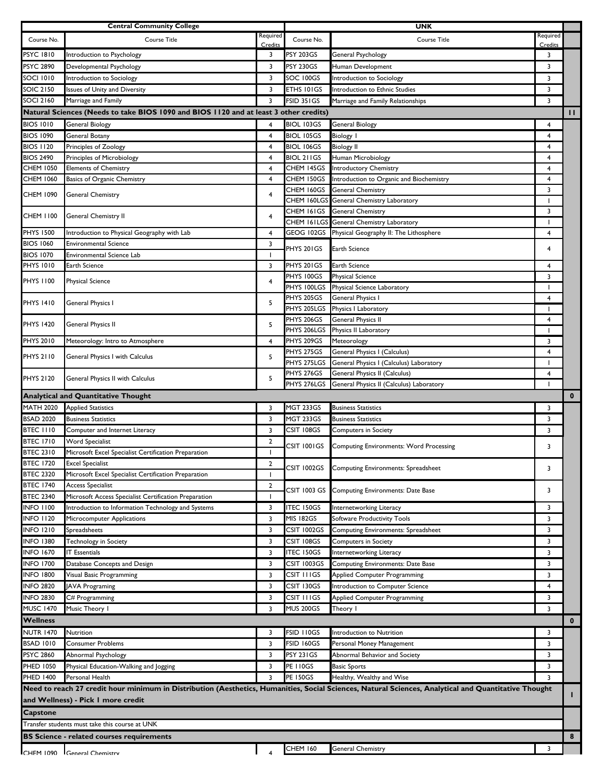|                  | <b>Central Community College</b>                                                      |                         |                           | <b>UNK</b>                                                                                                                                           |              |              |
|------------------|---------------------------------------------------------------------------------------|-------------------------|---------------------------|------------------------------------------------------------------------------------------------------------------------------------------------------|--------------|--------------|
| Course No.       | Course Title                                                                          | Required                | Course No.                | <b>Course Title</b>                                                                                                                                  | Required     |              |
| <b>PSYC 1810</b> |                                                                                       | Credits                 |                           |                                                                                                                                                      | Credits      |              |
|                  | Introduction to Psychology                                                            | 3                       | <b>PSY 203GS</b>          | General Psychology                                                                                                                                   | 3            |              |
| <b>PSYC 2890</b> | Developmental Psychology                                                              | 3                       | <b>PSY 230GS</b>          | Human Development                                                                                                                                    | 3            |              |
| SOCI 1010        | Introduction to Sociology                                                             | 3                       | SOC 100GS                 | Introduction to Sociology                                                                                                                            | 3            |              |
| <b>SOIC 2150</b> | ssues of Unity and Diversity                                                          | 3                       | ETHS 101GS                | Introduction to Ethnic Studies                                                                                                                       | 3            |              |
| SOCI 2160        | Marriage and Family                                                                   | 3                       | FSID 351GS                | Marriage and Family Relationships                                                                                                                    | 3            |              |
|                  | Natural Sciences (Needs to take BIOS 1090 and BIOS 1120 and at least 3 other credits) |                         |                           |                                                                                                                                                      |              | П.           |
| <b>BIOS 1010</b> | General Biology                                                                       | 4                       | BIOL 103GS                | General Biology                                                                                                                                      | 4            |              |
| <b>BIOS 1090</b> | General Botany                                                                        | 4                       | <b>BIOL 105GS</b>         | <b>Biology</b> I                                                                                                                                     | 4            |              |
| <b>BIOS 1120</b> | Principles of Zoology                                                                 | 4                       | <b>BIOL 106GS</b>         | <b>Biology II</b>                                                                                                                                    | 4            |              |
| <b>BIOS 2490</b> | <b>Principles of Microbiology</b>                                                     | 4                       | <b>BIOL 211GS</b>         | Human Microbiology                                                                                                                                   | 4            |              |
| <b>CHEM 1050</b> | <b>Elements of Chemistry</b>                                                          | 4                       | CHEM 145GS                | Introductory Chemistry                                                                                                                               | 4            |              |
| <b>CHEM 1060</b> | Basics of Organic Chemistry                                                           | 4                       | CHEM 150GS                | Introduction to Organic and Biochemistry                                                                                                             | 4            |              |
| <b>CHEM 1090</b> | General Chemistry                                                                     | 4                       | CHEM 160GS                | <b>General Chemistry</b>                                                                                                                             | 3            |              |
|                  |                                                                                       |                         | CHEM 160LGS               | General Chemistry Laboratory                                                                                                                         |              |              |
| <b>CHEM 1100</b> | <b>General Chemistry II</b>                                                           | 4                       |                           | CHEM 161GS General Chemistry                                                                                                                         | 3            |              |
|                  |                                                                                       |                         |                           | CHEM 161LGS General Chemistry Laboratory                                                                                                             | $\mathbf{I}$ |              |
| <b>PHYS 1500</b> | Introduction to Physical Geography with Lab                                           | 4                       | GEOG 102GS                | Physical Geography II: The Lithosphere                                                                                                               | 4            |              |
| <b>BIOS 1060</b> | <b>Environmental Science</b>                                                          | 3                       | PHYS 201GS                | <b>Earth Science</b>                                                                                                                                 | 4            |              |
| <b>BIOS 1070</b> | Environmental Science Lab                                                             | $\mathbf{I}$            |                           |                                                                                                                                                      |              |              |
| <b>PHYS 1010</b> | Earth Science                                                                         | 3                       | PHYS 201GS                | Earth Science                                                                                                                                        | 4            |              |
| <b>PHYS 1100</b> | <b>Physical Science</b>                                                               | 4                       | PHYS 100GS                | <b>Physical Science</b>                                                                                                                              | 3            |              |
|                  |                                                                                       |                         |                           | PHYS 100LGS Physical Science Laboratory                                                                                                              | $\mathbf{I}$ |              |
| <b>PHYS 1410</b> | General Physics I                                                                     | 5                       | PHYS 205GS                | <b>General Physics I</b>                                                                                                                             | 4            |              |
|                  |                                                                                       |                         | PHYS 205LGS               | Physics I Laboratory                                                                                                                                 | -1           |              |
| <b>PHYS 1420</b> | General Physics II                                                                    | 5                       | PHYS 206GS                | General Physics II                                                                                                                                   | 4            |              |
|                  |                                                                                       |                         | PHYS 206LGS               | Physics II Laboratory                                                                                                                                | <sup>1</sup> |              |
| <b>PHYS 2010</b> | Meteorology: Intro to Atmosphere                                                      | 4                       | PHYS 209GS                | Meteorology                                                                                                                                          | 3            |              |
| <b>PHYS 2110</b> | General Physics I with Calculus                                                       | 5                       | PHYS 275GS<br>PHYS 275LGS | General Physics I (Calculus)<br>General Physics I (Calculus) Laboratory                                                                              | 4            |              |
|                  |                                                                                       |                         | PHYS 276GS                | General Physics II (Calculus)                                                                                                                        | 4            |              |
| <b>PHYS 2120</b> | General Physics II with Calculus                                                      | 5                       | PHYS 276LGS               | General Physics II (Calculus) Laboratory                                                                                                             |              |              |
|                  | <b>Analytical and Quantitative Thought</b>                                            |                         |                           |                                                                                                                                                      |              | $\mathbf{0}$ |
|                  |                                                                                       |                         |                           |                                                                                                                                                      |              |              |
|                  |                                                                                       |                         |                           |                                                                                                                                                      |              |              |
| <b>MATH 2020</b> | <b>Applied Statistics</b>                                                             | 3                       | <b>MGT 233GS</b>          | <b>Business Statistics</b>                                                                                                                           | 3            |              |
| <b>BSAD 2020</b> | <b>Business Statistics</b>                                                            | 3                       | <b>MGT 233GS</b>          | <b>Business Statistics</b>                                                                                                                           | 3            |              |
| <b>BTEC 1110</b> | Computer and Internet Literacy                                                        | 3                       | CSIT 108GS                | <b>Computers in Society</b>                                                                                                                          | 3            |              |
| <b>BTEC 1710</b> | <b>Word Specialist</b>                                                                | 2                       | CSIT 1001GS               | <b>Computing Environments: Word Processing</b>                                                                                                       | 3            |              |
| <b>BTEC 2310</b> | Microsoft Excel Specialist Certification Preparation                                  | $\mathbf{I}$            |                           |                                                                                                                                                      |              |              |
| <b>BTEC 1720</b> | <b>Excel Specialist</b>                                                               | 2                       | CSIT 1002GS               | Computing Environments: Spreadsheet                                                                                                                  | 3            |              |
| <b>BTEC 2320</b> | Microsoft Excel Specialist Certification Preparation                                  |                         |                           |                                                                                                                                                      |              |              |
| <b>BTEC 1740</b> | Access Specialist                                                                     | 2                       | CSIT 1003 GS              | Computing Environments: Date Base                                                                                                                    | 3            |              |
| <b>BTEC 2340</b> | Microsoft Access Specialist Certification Preparation                                 |                         |                           |                                                                                                                                                      |              |              |
| <b>INFO 1100</b> | Introduction to Information Technology and Systems                                    | 3                       | <b>ITEC 150GS</b>         | Internetworking Literacy                                                                                                                             | 3            |              |
| <b>INFO 1120</b> | Microcomputer Applications                                                            | 3                       | <b>MIS 182GS</b>          | Software Productivity Tools                                                                                                                          | 3            |              |
| <b>INFO 1210</b> | Spreadsheets                                                                          | 3                       | CSIT 1002GS               | Computing Environments: Spreadsheet                                                                                                                  | 3            |              |
| <b>INFO 1380</b> | Technology in Society                                                                 | 3                       | CSIT 108GS                | <b>Computers in Society</b>                                                                                                                          | 3            |              |
| <b>INFO 1670</b> | T Essentials                                                                          | 3                       | <b>ITEC 150GS</b>         | Internetworking Literacy                                                                                                                             | 3            |              |
| <b>INFO 1700</b> | Database Concepts and Design                                                          | 3                       | CSIT 1003GS               | Computing Environments: Date Base                                                                                                                    | 3            |              |
| <b>INFO 1800</b> | Visual Basic Programming                                                              | 3                       | CSIT I I I GS             | <b>Applied Computer Programming</b>                                                                                                                  | 3            |              |
| <b>INFO 2820</b> | <b>JAVA Programing</b>                                                                | 3                       | CSIT 130GS                | Introduction to Computer Science                                                                                                                     | 4            |              |
| <b>INFO 2830</b> | C# Programming                                                                        | 3                       | CSIT I I I GS             | Applied Computer Programming                                                                                                                         | 3            |              |
| <b>MUSC 1470</b> | Music Theory I                                                                        | 3                       | <b>MUS 200GS</b>          | Theory I                                                                                                                                             | 3            |              |
| <b>Wellness</b>  |                                                                                       |                         |                           |                                                                                                                                                      |              | $\mathbf{0}$ |
| <b>NUTR 1470</b> | Nutrition                                                                             | 3                       | FSID 110GS                | Introduction to Nutrition                                                                                                                            | 3            |              |
| <b>BSAD 1010</b> | Consumer Problems                                                                     | 3                       | FSID 160GS                | Personal Money Management                                                                                                                            | 3            |              |
| PSYC 2860        | Abnormal Psychology                                                                   | 3                       | <b>PSY 231GS</b>          | Abnormal Behavior and Society                                                                                                                        | 3            |              |
| <b>PHED 1050</b> | Physical Education-Walking and Jogging                                                | 3                       | <b>PE 110GS</b>           | Basic Sports                                                                                                                                         | 3            |              |
| <b>PHED 1400</b> | Personal Health                                                                       | 3                       | <b>PE 150GS</b>           | Healthy, Wealthy and Wise                                                                                                                            | 3            |              |
|                  |                                                                                       |                         |                           | Need to reach 27 credit hour minimum in Distribution (Aesthetics, Humanities, Social Sciences, Natural Sciences, Analytical and Quantitative Thought |              |              |
|                  | and Wellness) - Pick I more credit                                                    |                         |                           |                                                                                                                                                      |              | н.           |
| Capstone         |                                                                                       |                         |                           |                                                                                                                                                      |              |              |
|                  | Transfer students must take this course at UNK                                        |                         |                           |                                                                                                                                                      |              |              |
|                  | <b>BS Science - related courses requirements</b>                                      |                         |                           |                                                                                                                                                      |              | 8            |
| CHEM 1090        | General Chemistry                                                                     | $\overline{\mathbf{4}}$ | <b>CHEM 160</b>           | General Chemistry                                                                                                                                    | 3            |              |